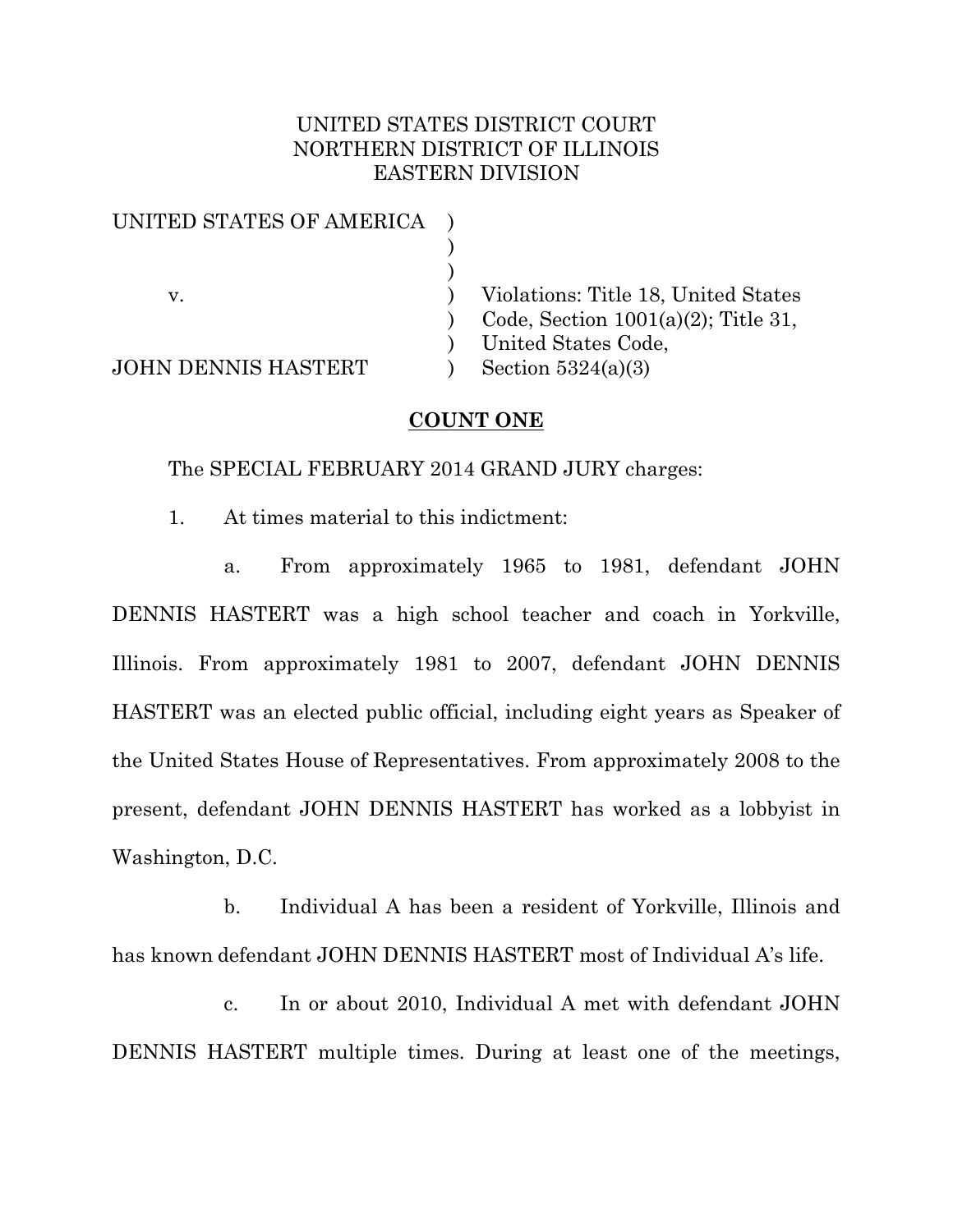# UNITED STATES DISTRICT COURT NORTHERN DISTRICT OF ILLINOIS EASTERN DIVISION

| UNITED STATES OF AMERICA |                                        |
|--------------------------|----------------------------------------|
|                          |                                        |
|                          |                                        |
| v.                       | Violations: Title 18, United States    |
|                          | Code, Section $1001(a)(2)$ ; Title 31, |
|                          | United States Code,                    |
| JOHN DENNIS HASTERT      | Section $5324(a)(3)$                   |
|                          |                                        |

### **COUNT ONE**

The SPECIAL FEBRUARY 2014 GRAND JURY charges:

1. At times material to this indictment:

a. From approximately 1965 to 1981, defendant JOHN DENNIS HASTERT was a high school teacher and coach in Yorkville, Illinois. From approximately 1981 to 2007, defendant JOHN DENNIS HASTERT was an elected public official, including eight years as Speaker of the United States House of Representatives. From approximately 2008 to the present, defendant JOHN DENNIS HASTERT has worked as a lobbyist in Washington, D.C.

b. Individual A has been a resident of Yorkville, Illinois and has known defendant JOHN DENNIS HASTERT most of Individual A's life.

c. In or about 2010, Individual A met with defendant JOHN DENNIS HASTERT multiple times. During at least one of the meetings,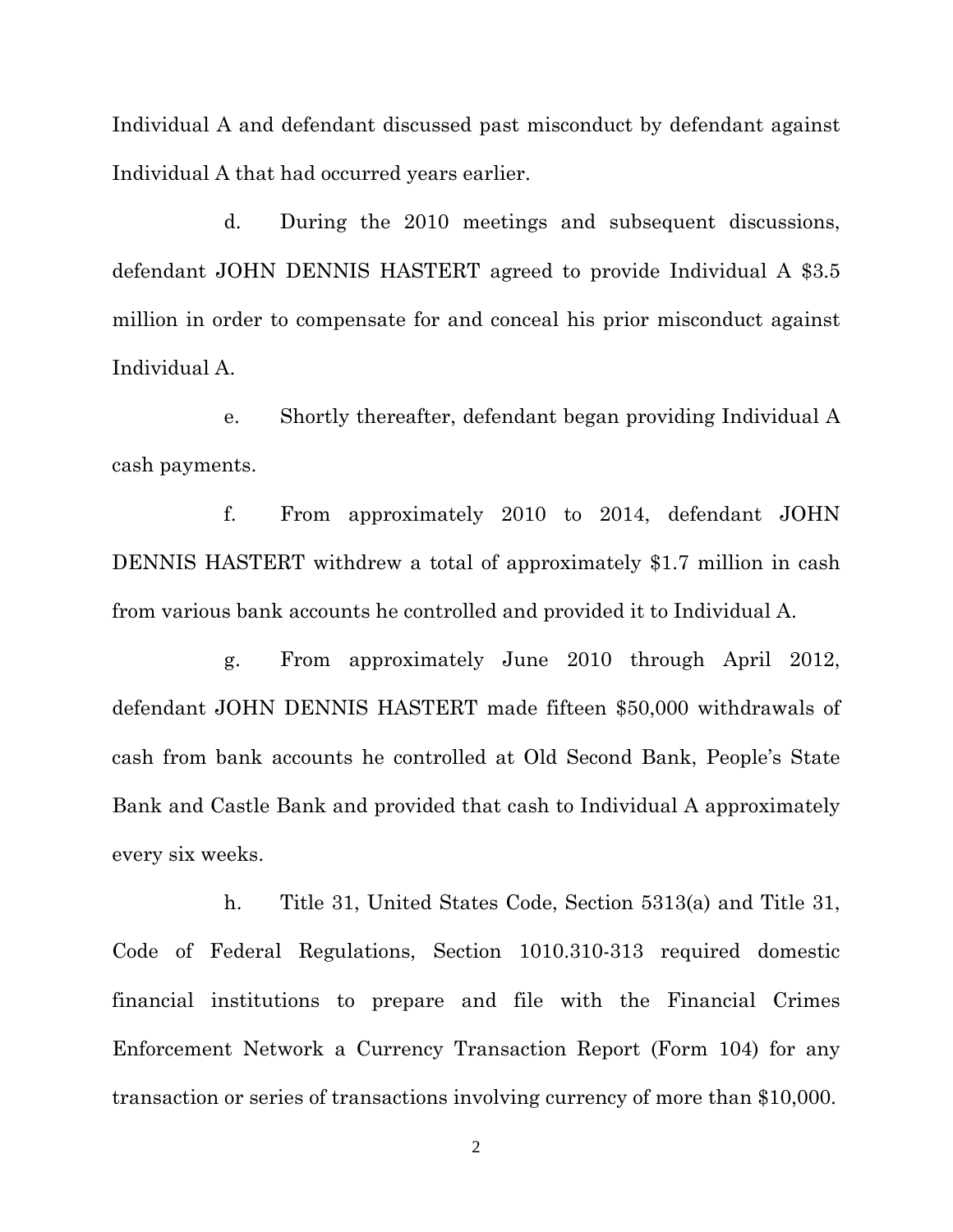Individual A and defendant discussed past misconduct by defendant against Individual A that had occurred years earlier.

d. During the 2010 meetings and subsequent discussions, defendant JOHN DENNIS HASTERT agreed to provide Individual A \$3.5 million in order to compensate for and conceal his prior misconduct against Individual A.

e. Shortly thereafter, defendant began providing Individual A cash payments.

f. From approximately 2010 to 2014, defendant JOHN DENNIS HASTERT withdrew a total of approximately \$1.7 million in cash from various bank accounts he controlled and provided it to Individual A.

g. From approximately June 2010 through April 2012, defendant JOHN DENNIS HASTERT made fifteen \$50,000 withdrawals of cash from bank accounts he controlled at Old Second Bank, People's State Bank and Castle Bank and provided that cash to Individual A approximately every six weeks.

h. Title 31, United States Code, Section 5313(a) and Title 31, Code of Federal Regulations, Section 1010.310-313 required domestic financial institutions to prepare and file with the Financial Crimes Enforcement Network a Currency Transaction Report (Form 104) for any transaction or series of transactions involving currency of more than \$10,000.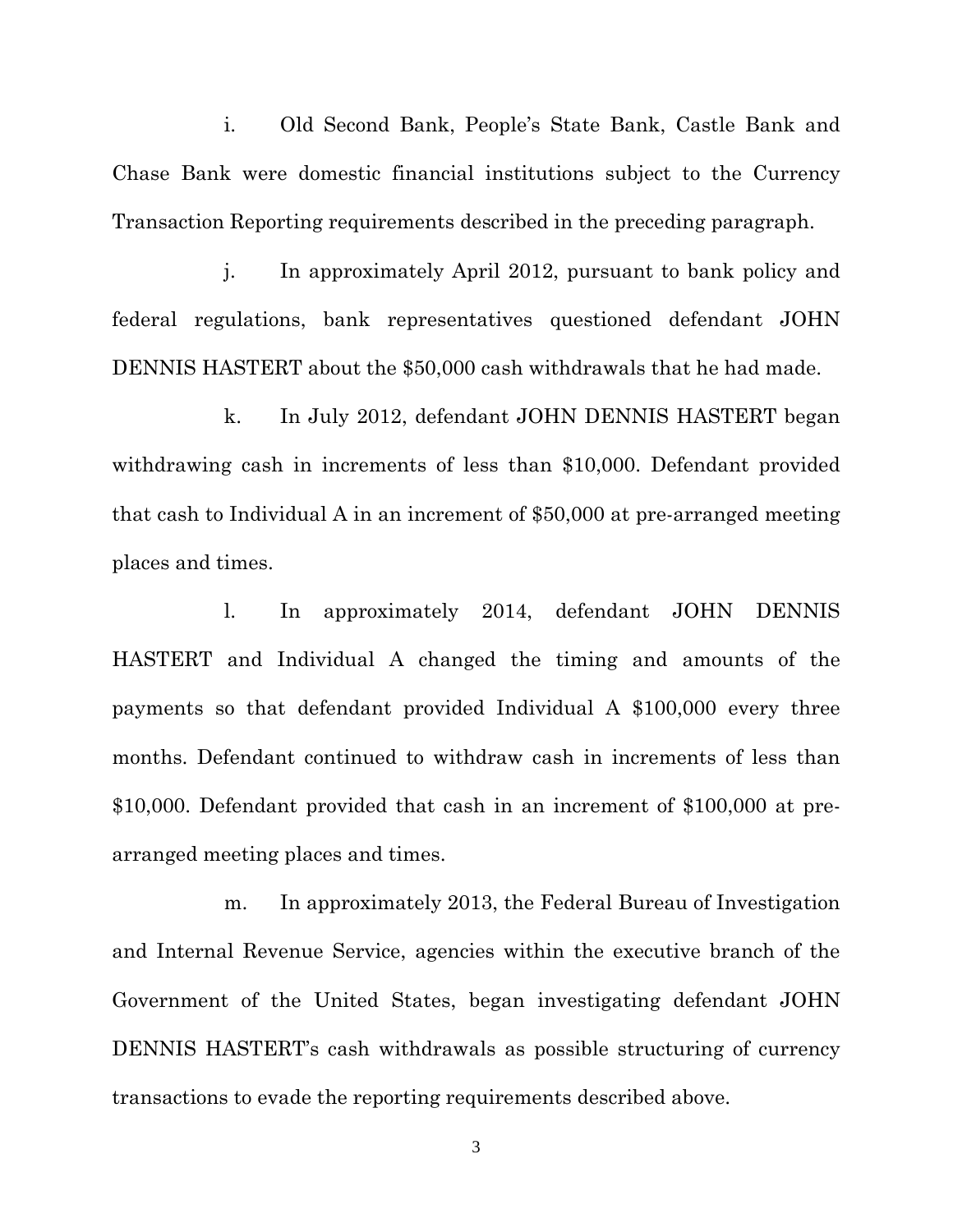i. Old Second Bank, People's State Bank, Castle Bank and Chase Bank were domestic financial institutions subject to the Currency Transaction Reporting requirements described in the preceding paragraph.

j. In approximately April 2012, pursuant to bank policy and federal regulations, bank representatives questioned defendant JOHN DENNIS HASTERT about the \$50,000 cash withdrawals that he had made.

k. In July 2012, defendant JOHN DENNIS HASTERT began withdrawing cash in increments of less than \$10,000. Defendant provided that cash to Individual A in an increment of \$50,000 at pre-arranged meeting places and times.

l. In approximately 2014, defendant JOHN DENNIS HASTERT and Individual A changed the timing and amounts of the payments so that defendant provided Individual A \$100,000 every three months. Defendant continued to withdraw cash in increments of less than \$10,000. Defendant provided that cash in an increment of \$100,000 at prearranged meeting places and times.

m. In approximately 2013, the Federal Bureau of Investigation and Internal Revenue Service, agencies within the executive branch of the Government of the United States, began investigating defendant JOHN DENNIS HASTERT's cash withdrawals as possible structuring of currency transactions to evade the reporting requirements described above.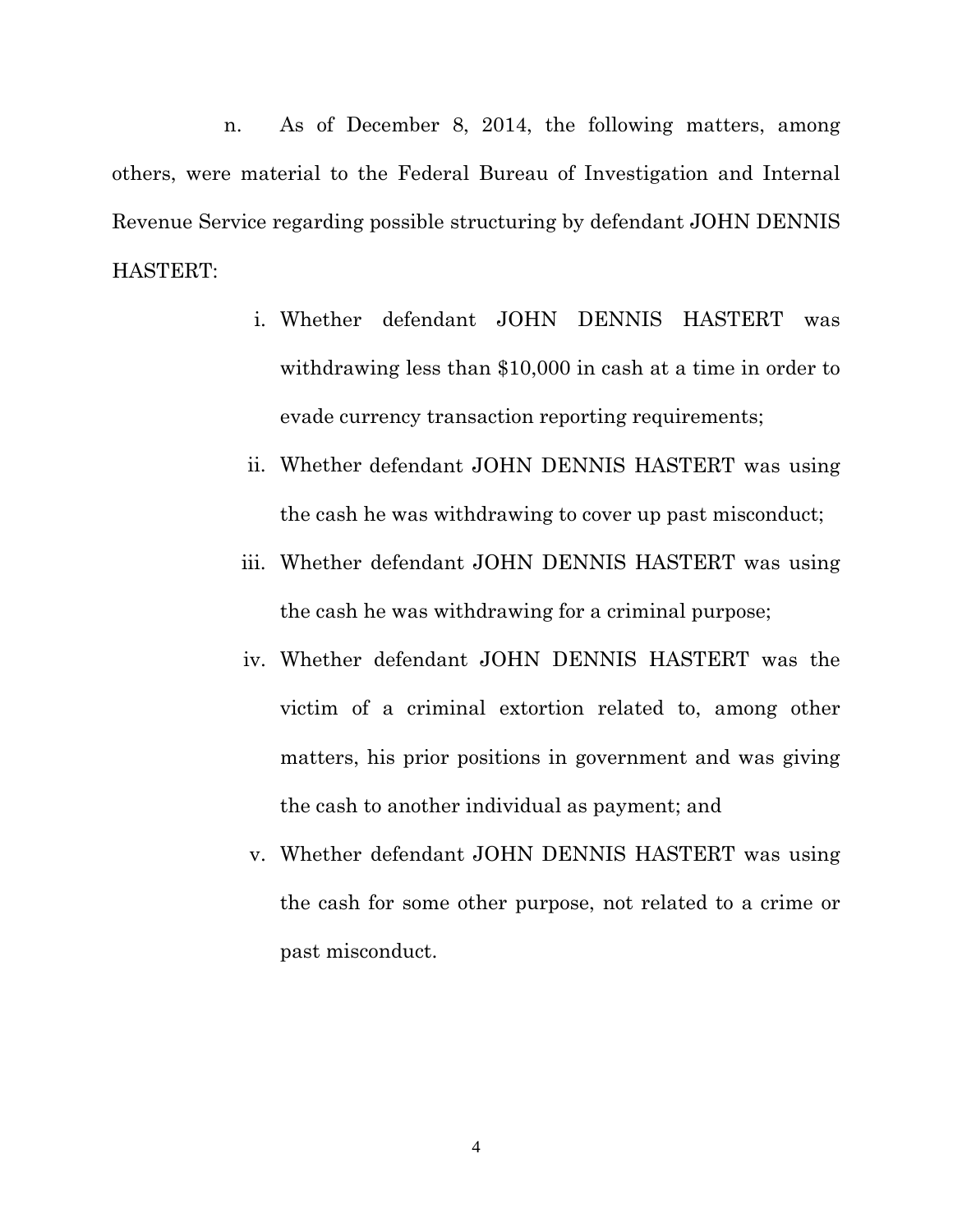n. As of December 8, 2014, the following matters, among others, were material to the Federal Bureau of Investigation and Internal Revenue Service regarding possible structuring by defendant JOHN DENNIS HASTERT:

- i. Whether defendant JOHN DENNIS HASTERT was withdrawing less than \$10,000 in cash at a time in order to evade currency transaction reporting requirements;
- ii. Whether defendant JOHN DENNIS HASTERT was using the cash he was withdrawing to cover up past misconduct;
- iii. Whether defendant JOHN DENNIS HASTERT was using the cash he was withdrawing for a criminal purpose;
- iv. Whether defendant JOHN DENNIS HASTERT was the victim of a criminal extortion related to, among other matters, his prior positions in government and was giving the cash to another individual as payment; and
- v. Whether defendant JOHN DENNIS HASTERT was using the cash for some other purpose, not related to a crime or past misconduct.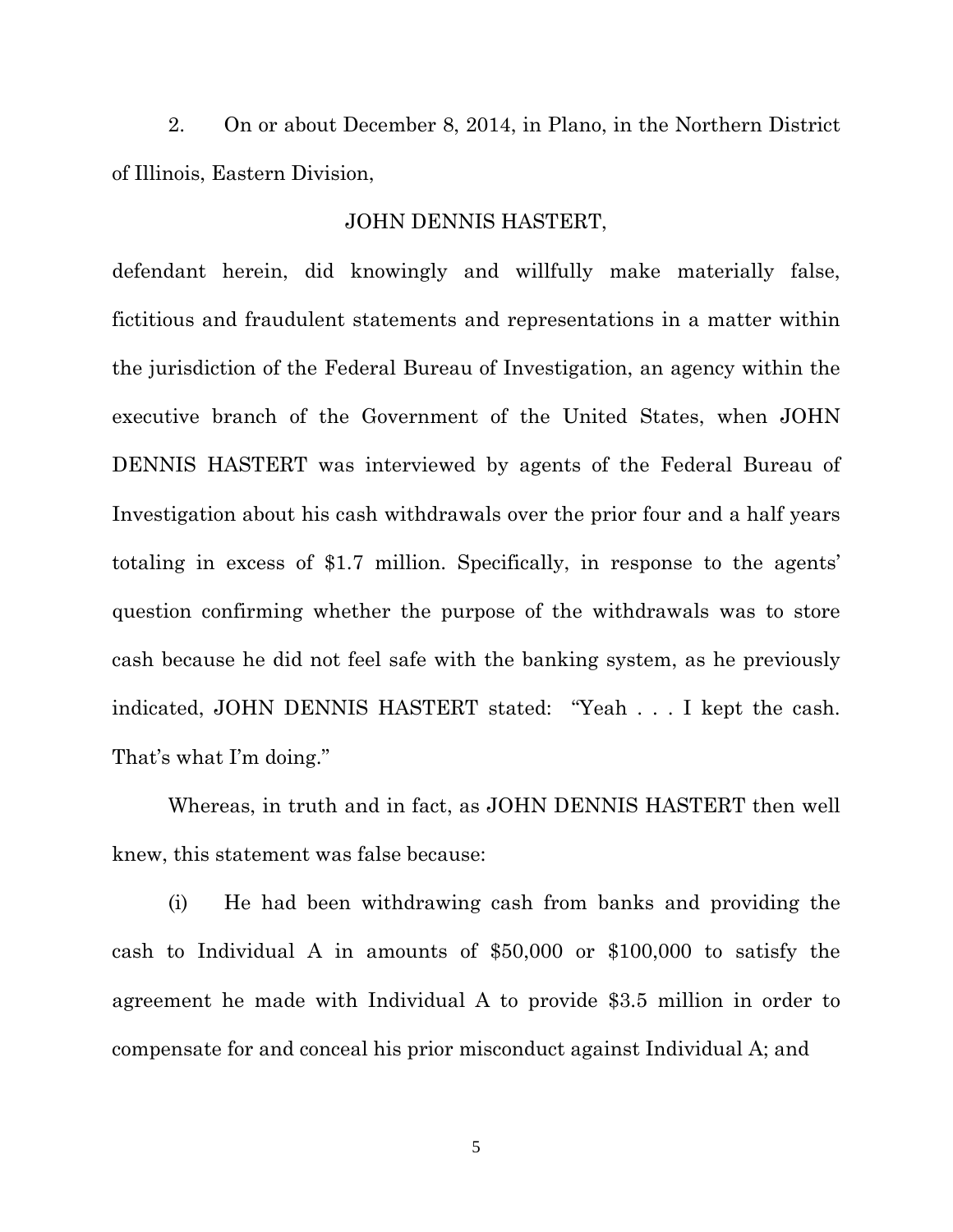2. On or about December 8, 2014, in Plano, in the Northern District of Illinois, Eastern Division,

#### JOHN DENNIS HASTERT,

defendant herein, did knowingly and willfully make materially false, fictitious and fraudulent statements and representations in a matter within the jurisdiction of the Federal Bureau of Investigation, an agency within the executive branch of the Government of the United States, when JOHN DENNIS HASTERT was interviewed by agents of the Federal Bureau of Investigation about his cash withdrawals over the prior four and a half years totaling in excess of \$1.7 million. Specifically, in response to the agents' question confirming whether the purpose of the withdrawals was to store cash because he did not feel safe with the banking system, as he previously indicated, JOHN DENNIS HASTERT stated: "Yeah . . . I kept the cash. That's what I'm doing."

Whereas, in truth and in fact, as JOHN DENNIS HASTERT then well knew, this statement was false because:

(i) He had been withdrawing cash from banks and providing the cash to Individual A in amounts of \$50,000 or \$100,000 to satisfy the agreement he made with Individual A to provide \$3.5 million in order to compensate for and conceal his prior misconduct against Individual A; and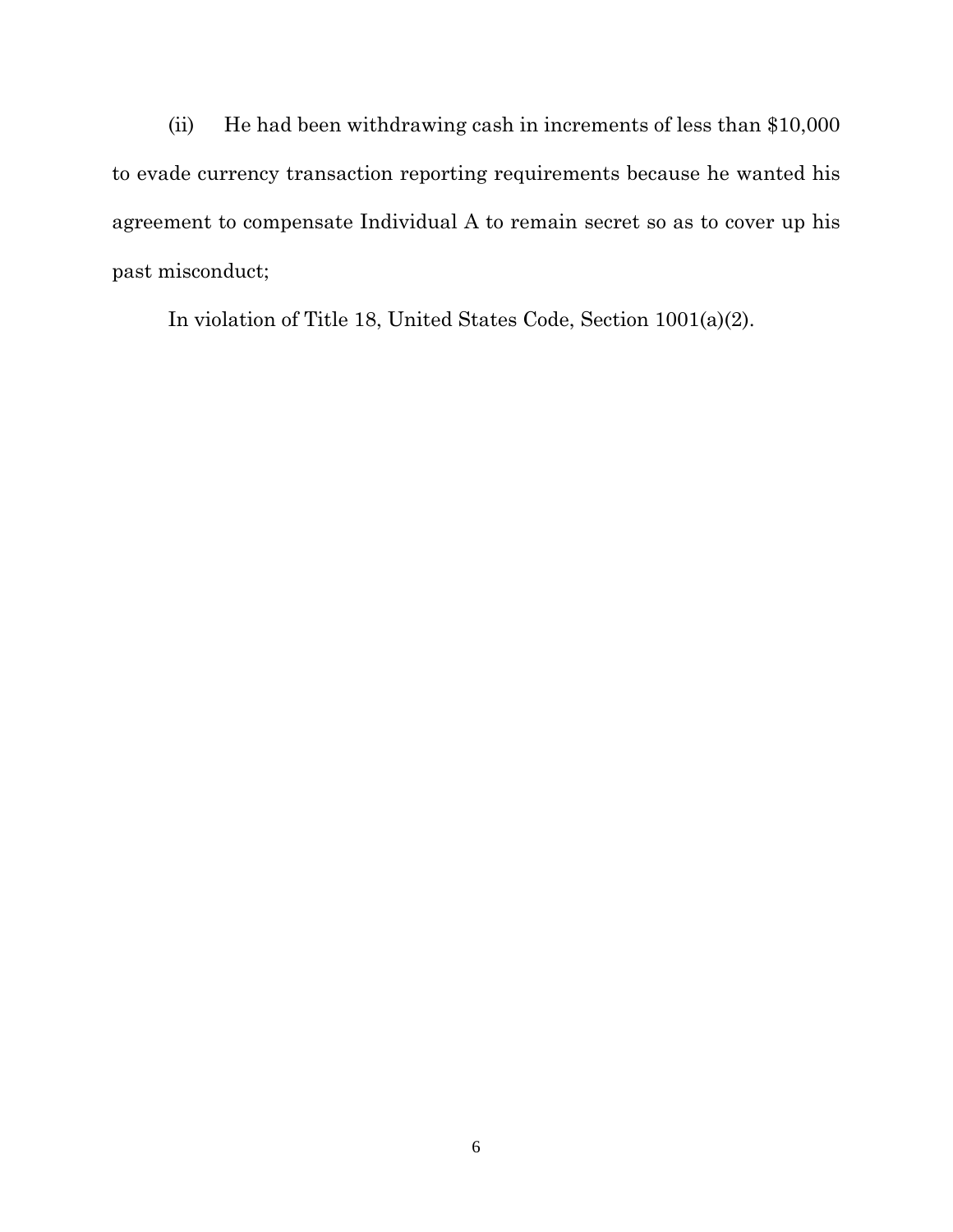(ii) He had been withdrawing cash in increments of less than \$10,000 to evade currency transaction reporting requirements because he wanted his agreement to compensate Individual A to remain secret so as to cover up his past misconduct;

In violation of Title 18, United States Code, Section 1001(a)(2).